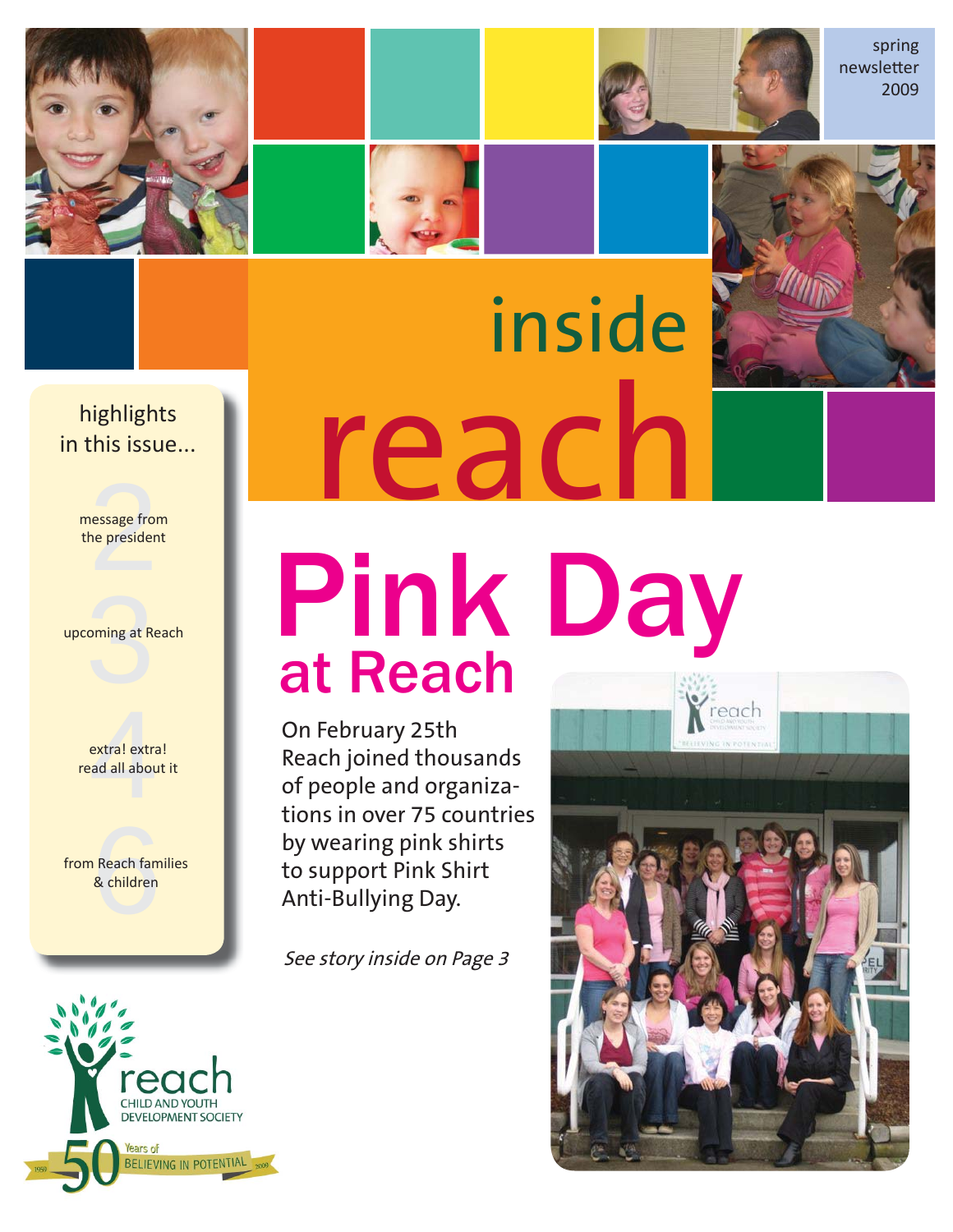



spring newsletter 2009

## **this issue.....** highlights in this issue...

essage from<br>the presider message from the president

oming at R upcoming at Reach

extra<mark>l</mark> extra<br>ad all abou extra! extra! read all about it

Reach fam<br>& children from Reach families & children



# reach inside

On February 25th Reach joined thousands of people and organizations in over 75 countries by wearing pink shirts to support Pink Shirt Anti-Bullying Day.

at Reach

See story inside on Page 3

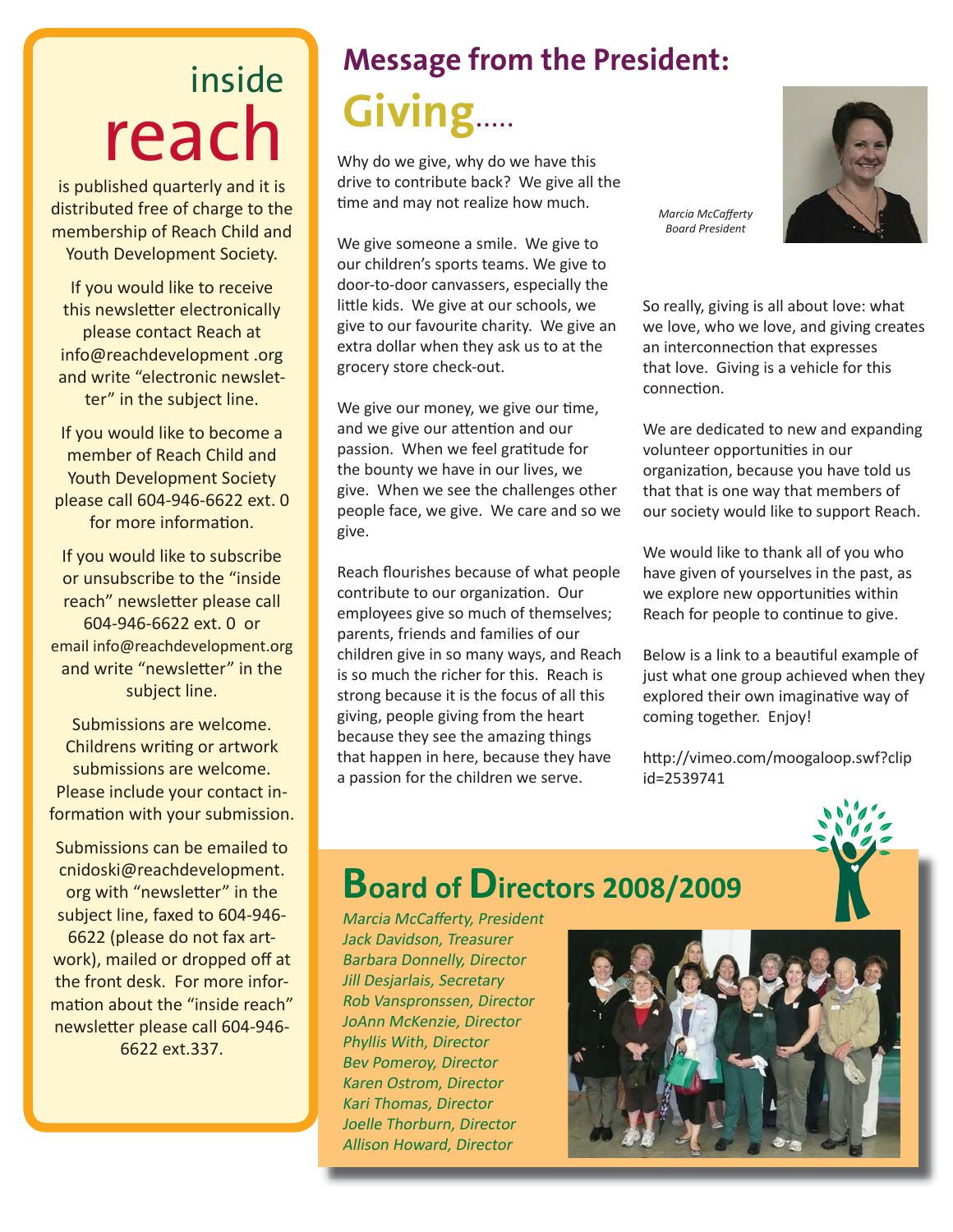# inside reach

is published quarterly and it is distributed free of charge to the membership of Reach Child and Youth Development Society.

If you would like to receive this newsletter electronically please contact Reach at info@reachdevelopment .org and write "electronic newsletter" in the subject line.

If you would like to become a member of Reach Child and Youth Development Society please call 604-946-6622 ext. 0 for more information.

If you would like to subscribe or unsubscribe to the "inside reach" newsletter please call 604-946-6622 ext. 0 or email info@reachdevelopment.org and write "newsletter" in the subject line.

Submissions are welcome. Childrens writing or artwork submissions are welcome. Please include your contact information with your submission.

Submissions can be emailed to cnidoski@reachdevelopment. org with "newsletter" in the subject line, faxed to 604-946- 6622 (please do not fax artwork), mailed or dropped off at the front desk. For more information about the "inside reach" newsletter please call 604-946-6622 ext.337.

# **Message from the President: Giving**.....

Why do we give, why do we have this drive to contribute back? We give all the time and may not realize how much.

We give someone a smile. We give to our children's sports teams. We give to door-to-door canvassers, especially the little kids. We give at our schools, we give to our favourite charity. We give an extra dollar when they ask us to at the grocery store check-out.

We give our money, we give our time, and we give our attention and our passion. When we feel gratitude for the bounty we have in our lives, we give. When we see the challenges other people face, we give. We care and so we give.

Reach flourishes because of what people contribute to our organization. Our employees give so much of themselves; parents, friends and families of our children give in so many ways, and Reach is so much the richer for this. Reach is strong because it is the focus of all this giving, people giving from the heart because they see the amazing things that happen in here, because they have a passion for the children we serve.

*Marcia McCafferty Board President*

So really, giving is all about love: what we love, who we love, and giving creates an interconnection that expresses that love. Giving is a vehicle for this connection.

We are dedicated to new and expanding volunteer opportunities in our organization, because you have told us that that is one way that members of our society would like to support Reach.

We would like to thank all of you who have given of yourselves in the past, as we explore new opportunities within Reach for people to continue to give.

Below is a link to a beautiful example of just what one group achieved when they explored their own imaginative way of coming together. Enjoy!

http://vimeo.com/moogaloop.swf?clip id=2539741



## **Board of Directors 2008/2009**

Marcia McCafferty, President Jack Davidson, Treasurer Barbara Donnelly, Director Jill Desjarlais, Secretary Rob Vanspronssen, Director JoAnn McKenzie, Director Phyllis With, Director Bev Pomeroy, Director Karen Ostrom, Director Kari Thomas, Director Joelle Thorburn, Director Allison Howard, Director



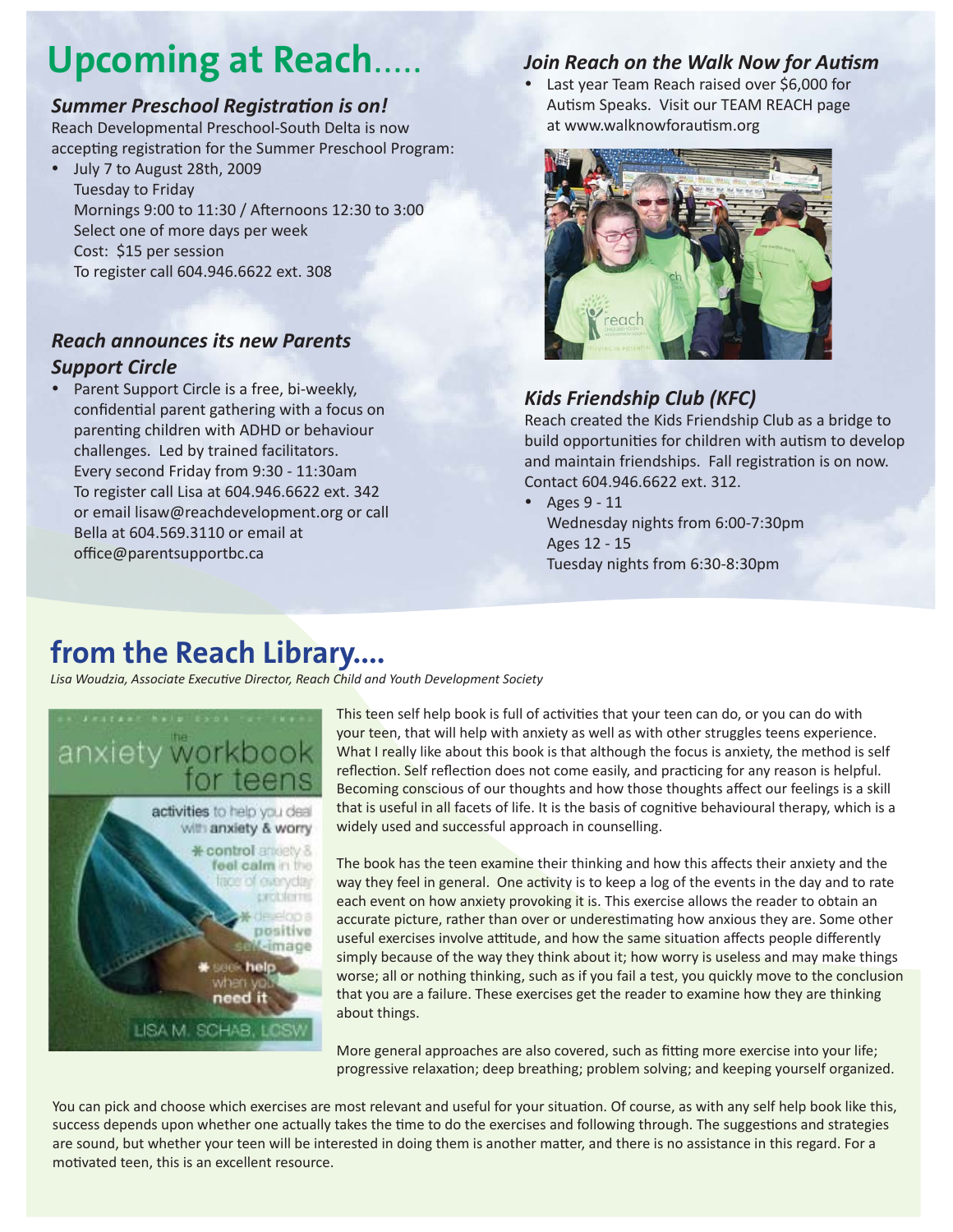# **Upcoming at Reach.**

#### **Summer Preschool Registration is on!**

Reach Developmental Preschool-South Delta is now accepting registration for the Summer Preschool Program:

• July 7 to August 28th, 2009 Tuesday to Friday Mornings 9:00 to 11:30 / Afternoons 12:30 to 3:00 Select one of more days per week Cost: \$15 per session To register call 604.946.6622 ext. 308

#### *Reach announces its new Parents Support Circle*

Parent Support Circle is a free, bi-weekly, confidential parent gathering with a focus on parenting children with ADHD or behaviour challenges. Led by trained facilitators. Every second Friday from 9:30 - 11:30am To register call Lisa at 604.946.6622 ext. 342 or email lisaw@reachdevelopment.org or call Bella at 604.569.3110 or email at office@parentsupportbc.ca

#### *Join Reach on the Walk Now for Autism*

• Last year Team Reach raised over \$6,000 for Autism Speaks. Visit our TEAM REACH page at www.walknowforautism.org



### *Kids Friendship Club (KFC)*

Reach created the Kids Friendship Club as a bridge to build opportunities for children with autism to develop and maintain friendships. Fall registration is on now. Contact 604.946.6622 ext. 312.

• Ages  $9 - 11$  Wednesday nights from 6:00-7:30pm Ages 12 - 15 Tuesday nights from 6:30-8:30pm

## **from the Reach Library....**

Lisa Woudzia, Associate Executive Director, Reach Child and Youth Development Society



This teen self help book is full of activities that your teen can do, or you can do with your teen, that will help with anxiety as well as with other struggles teens experience. What I really like about this book is that although the focus is anxiety, the method is self reflection. Self reflection does not come easily, and practicing for any reason is helpful. Becoming conscious of our thoughts and how those thoughts affect our feelings is a skill that is useful in all facets of life. It is the basis of cognitive behavioural therapy, which is a widely used and successful approach in counselling.

The book has the teen examine their thinking and how this affects their anxiety and the way they feel in general. One activity is to keep a log of the events in the day and to rate each event on how anxiety provoking it is. This exercise allows the reader to obtain an accurate picture, rather than over or underestimating how anxious they are. Some other useful exercises involve attitude, and how the same situation affects people differently simply because of the way they think about it; how worry is useless and may make things worse; all or nothing thinking, such as if you fail a test, you quickly move to the conclusion that you are a failure. These exercises get the reader to examine how they are thinking about things.

More general approaches are also covered, such as fitting more exercise into your life; progressive relaxation; deep breathing; problem solving; and keeping yourself organized.

You can pick and choose which exercises are most relevant and useful for your situation. Of course, as with any self help book like this, success depends upon whether one actually takes the time to do the exercises and following through. The suggestions and strategies are sound, but whether your teen will be interested in doing them is another matter, and there is no assistance in this regard. For a motivated teen, this is an excellent resource.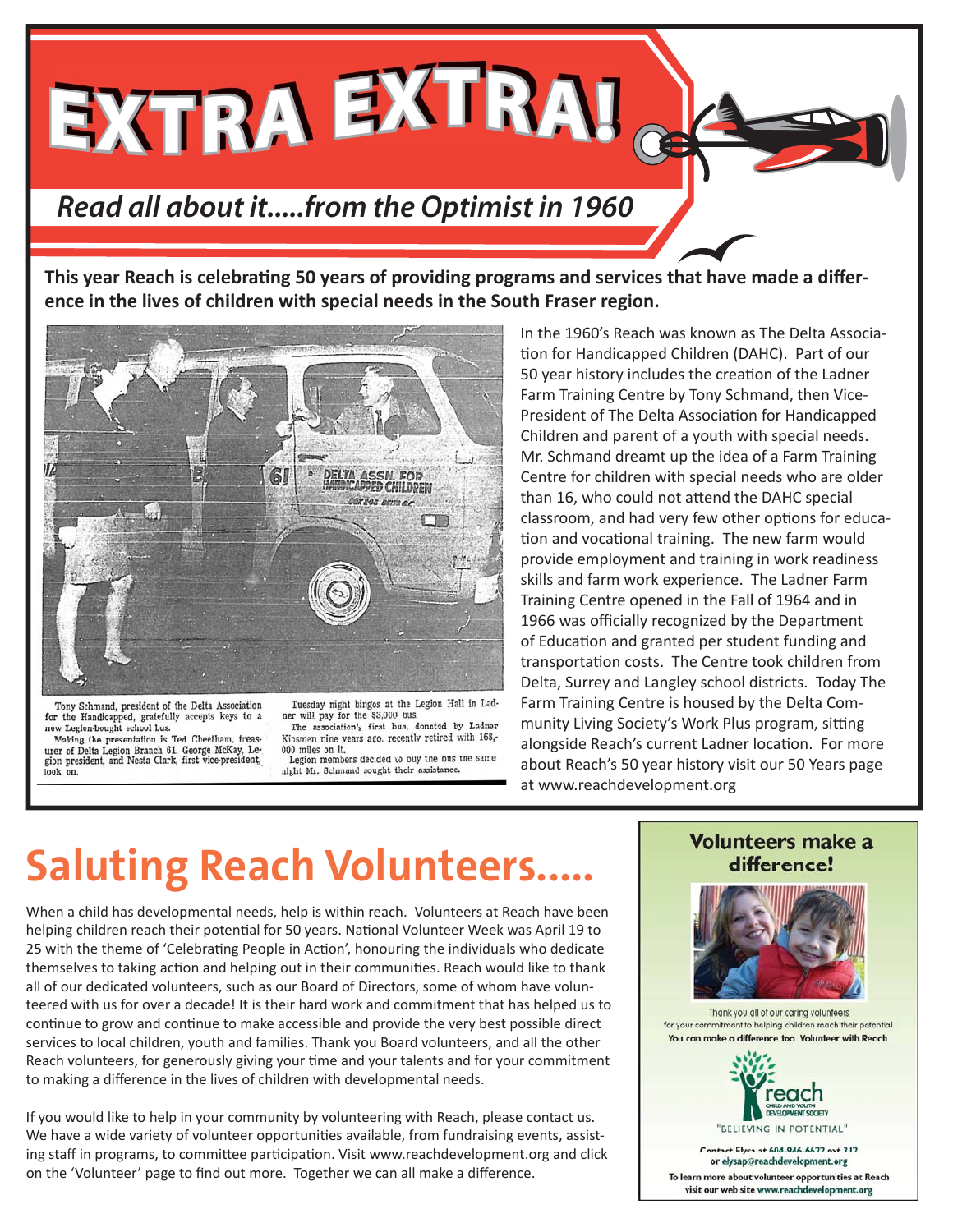**EXTRA EXTRA!**

## *Read all about it.....from the Optimist in 1960*

**This year Reach is celebrating 50 years of providing programs and services that have made a difference in the lives of children with special needs in the South Fraser region.** 



Tony Schmand, president of the Delta Association for the Handicapped, gratefully accepts keys to a new Legion-bought school bus.

Making the presentation is Ted Cheetham, treas-Easing the presentation is 1ed Cheetham, treasurer of Delta Legion Branch 61. George McKay, Legion president, and Nesta Clark, first vice-president, look on.

Tuesday night bingos at the Legion Hall in Ladner will pay for the \$3,000 bus.<br>The association's first bus, donated by Ladner Kinsmen nine years ago, recently retired with 168,-

000 miles on it. Legion members decided to buy the bus the same night Mr. Schmand sought their assistance.

In the 1960's Reach was known as The Delta Association for Handicapped Children (DAHC). Part of our 50 year history includes the creation of the Ladner Farm Training Centre by Tony Schmand, then Vice-President of The Delta Association for Handicapped Children and parent of a youth with special needs. Mr. Schmand dreamt up the idea of a Farm Training Centre for children with special needs who are older than 16, who could not attend the DAHC special classroom, and had very few other options for education and vocational training. The new farm would provide employment and training in work readiness skills and farm work experience. The Ladner Farm Training Centre opened in the Fall of 1964 and in 1966 was officially recognized by the Department of Education and granted per student funding and transportation costs. The Centre took children from Delta, Surrey and Langley school districts. Today The Farm Training Centre is housed by the Delta Community Living Society's Work Plus program, sitting alongside Reach's current Ladner location. For more about Reach's 50 year history visit our 50 Years page at www.reachdevelopment.org

# **Saluting Reach Volunteers..**

When a child has developmental needs, help is within reach. Volunteers at Reach have been helping children reach their potential for 50 years. National Volunteer Week was April 19 to 25 with the theme of 'Celebrating People in Action', honouring the individuals who dedicate themselves to taking action and helping out in their communities. Reach would like to thank all of our dedicated volunteers, such as our Board of Directors, some of whom have volunteered with us for over a decade! It is their hard work and commitment that has helped us to continue to grow and continue to make accessible and provide the very best possible direct services to local children, youth and families. Thank you Board volunteers, and all the other Reach volunteers, for generously giving your time and your talents and for your commitment to making a difference in the lives of children with developmental needs.

If you would like to help in your community by volunteering with Reach, please contact us. We have a wide variety of volunteer opportunities available, from fundraising events, assisting staff in programs, to committee participation. Visit www.reachdevelopment.org and click on the 'Volunteer' page to find out more. Together we can all make a difference.

#### **Volunteers make a** difference!



Thank you all of our caring volunteers for your commitment to helping children reach their potential. You can make a difference too. Volunteer with Reach



Contact Elysa at 604-946-6622 ext.312 or elysap@reachdevelopment.org To learn more about volunteer opportunities at Reach visit our web site www.reachdevelopment.org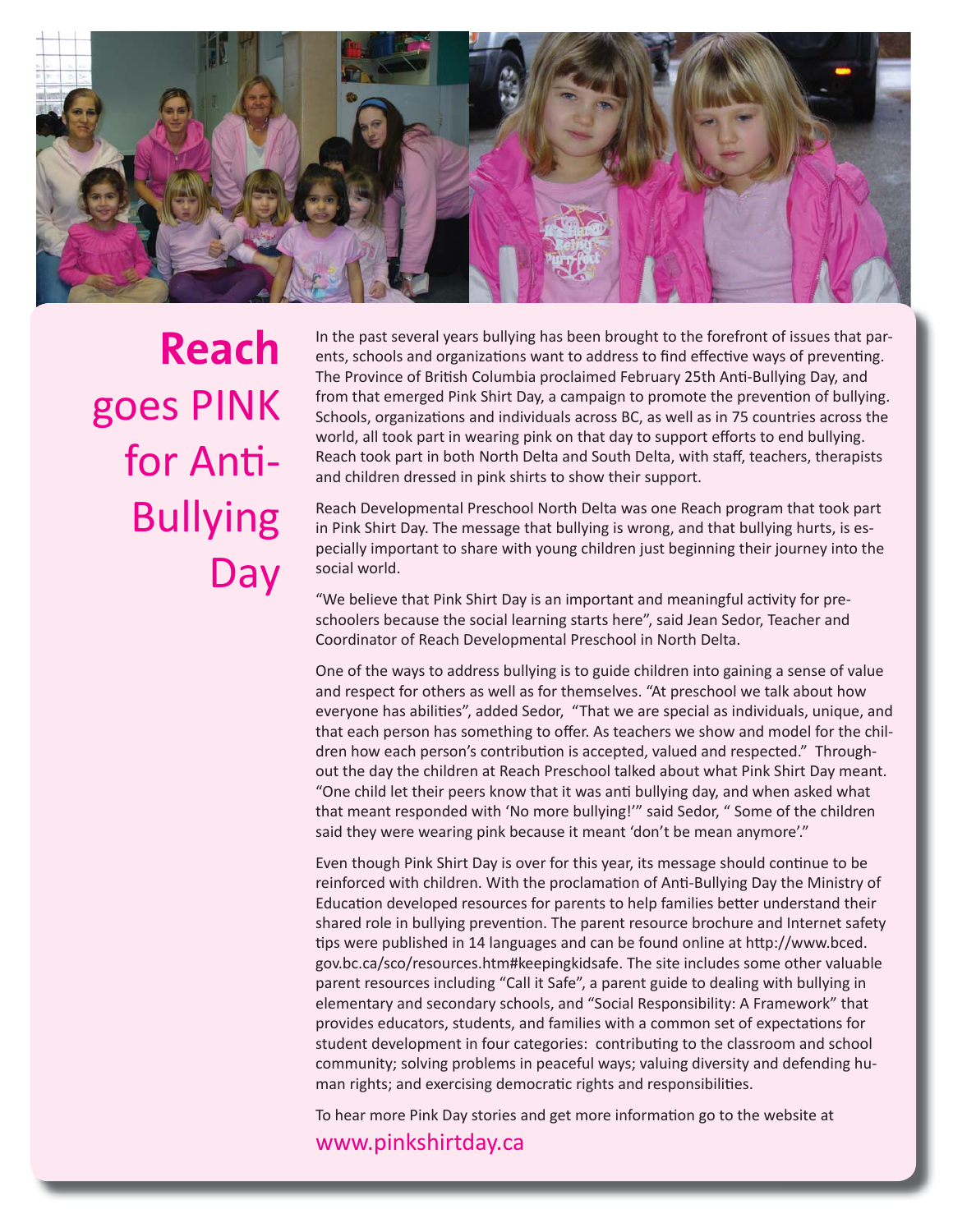

**Reach**  goes PINK for Anti-Bullying Day

In the past several years bullying has been brought to the forefront of issues that parents, schools and organizations want to address to find effective ways of preventing. The Province of British Columbia proclaimed February 25th Anti-Bullying Day, and from that emerged Pink Shirt Day, a campaign to promote the prevention of bullying. Schools, organizations and individuals across BC, as well as in 75 countries across the world, all took part in wearing pink on that day to support efforts to end bullying. Reach took part in both North Delta and South Delta, with staff, teachers, therapists and children dressed in pink shirts to show their support.

Reach Developmental Preschool North Delta was one Reach program that took part in Pink Shirt Day. The message that bullying is wrong, and that bullying hurts, is especially important to share with young children just beginning their journey into the social world.

"We believe that Pink Shirt Day is an important and meaningful activity for preschoolers because the social learning starts here", said Jean Sedor, Teacher and Coordinator of Reach Developmental Preschool in North Delta.

One of the ways to address bullying is to guide children into gaining a sense of value and respect for others as well as for themselves. "At preschool we talk about how everyone has abilities", added Sedor, "That we are special as individuals, unique, and that each person has something to offer. As teachers we show and model for the children how each person's contribution is accepted, valued and respected." Throughout the day the children at Reach Preschool talked about what Pink Shirt Day meant. "One child let their peers know that it was anti bullying day, and when asked what that meant responded with 'No more bullying!'" said Sedor, " Some of the children said they were wearing pink because it meant 'don't be mean anymore'."

Even though Pink Shirt Day is over for this year, its message should continue to be reinforced with children. With the proclamation of Anti-Bullying Day the Ministry of Education developed resources for parents to help families better understand their shared role in bullying prevention. The parent resource brochure and Internet safety tips were published in 14 languages and can be found online at http://www.bced. gov.bc.ca/sco/resources.htm#keepingkidsafe. The site includes some other valuable parent resources including "Call it Safe", a parent guide to dealing with bullying in elementary and secondary schools, and "Social Responsibility: A Framework" that provides educators, students, and families with a common set of expectations for student development in four categories: contributing to the classroom and school community; solving problems in peaceful ways; valuing diversity and defending human rights; and exercising democratic rights and responsibilities.

To hear more Pink Day stories and get more information go to the website at

www.pinkshirtday.ca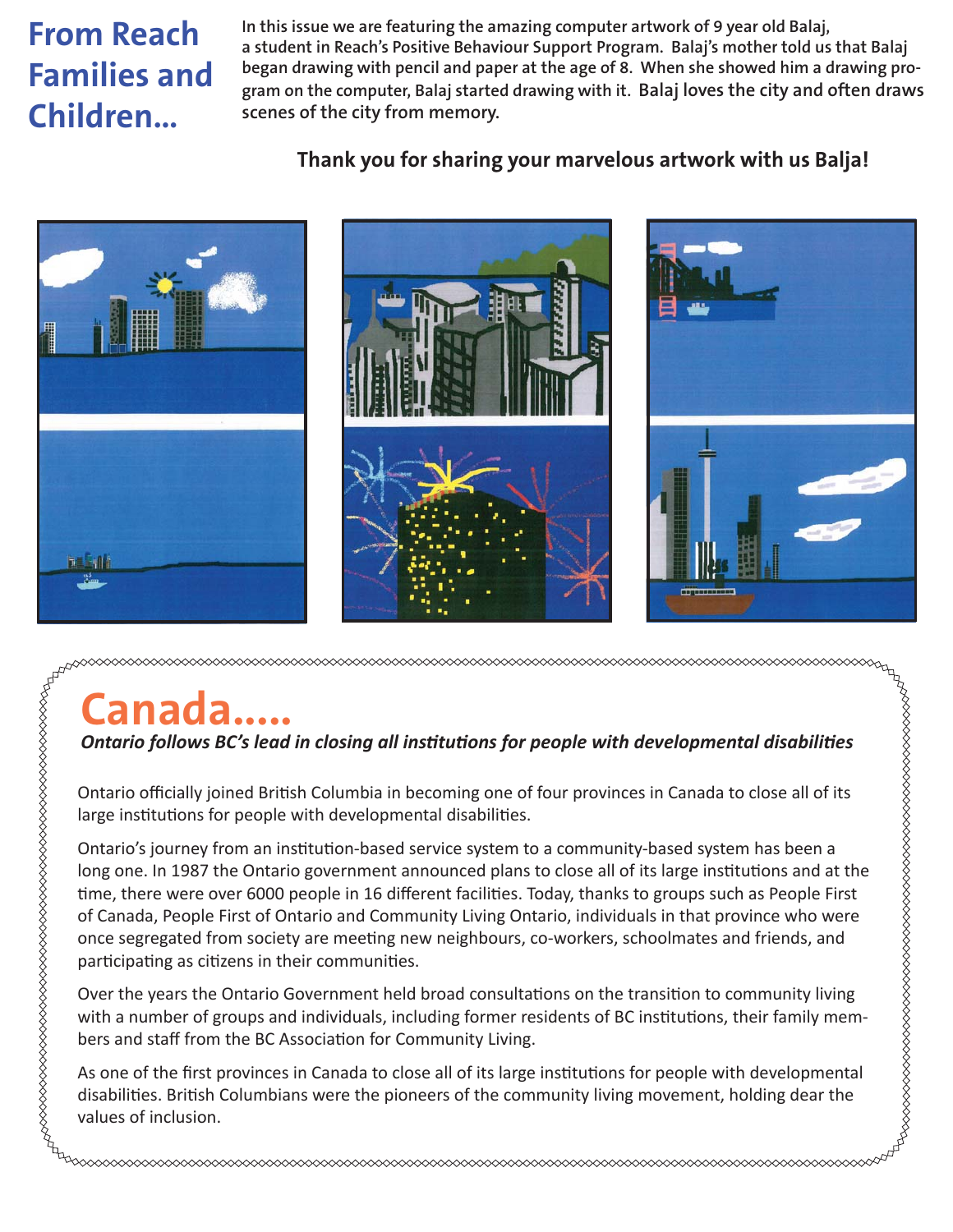## **From Reach Families and Children…**

**In this issue we are featuring the amazing computer artwork of 9 year old Balaj, a student in Reach's Positive Behaviour Support Program. Balaj's mother told us that Balaj began drawing with pencil and paper at the age of 8. When she showed him a drawing program on the computer, Balaj started drawing with it. Balaj loves the city and often draws scenes of the city from memory.**

## **Thank you for sharing your marvelous artwork with us Balja!**



# **Canada.....**

*Ontario follows BC's lead in closing all institutions for people with developmental disabilities* 

Ontario officially joined British Columbia in becoming one of four provinces in Canada to close all of its large institutions for people with developmental disabilities.

Ontario's journey from an institution-based service system to a community-based system has been a long one. In 1987 the Ontario government announced plans to close all of its large institutions and at the time, there were over 6000 people in 16 different facilities. Today, thanks to groups such as People First of Canada, People First of Ontario and Community Living Ontario, individuals in that province who were once segregated from society are meeting new neighbours, co-workers, schoolmates and friends, and participating as citizens in their communities.

**ARRARDRADORDRADORDRADORDRADORDRADORDADORDADORDADORDADORDADORDADORDADORDADORDADORDADORDADORDADORDADORDADORDADOR** 

Over the years the Ontario Government held broad consultations on the transition to community living with a number of groups and individuals, including former residents of BC institutions, their family members and staff from the BC Association for Community Living.

As one of the first provinces in Canada to close all of its large institutions for people with developmental disabilities. British Columbians were the pioneers of the community living movement, holding dear the values of inclusion.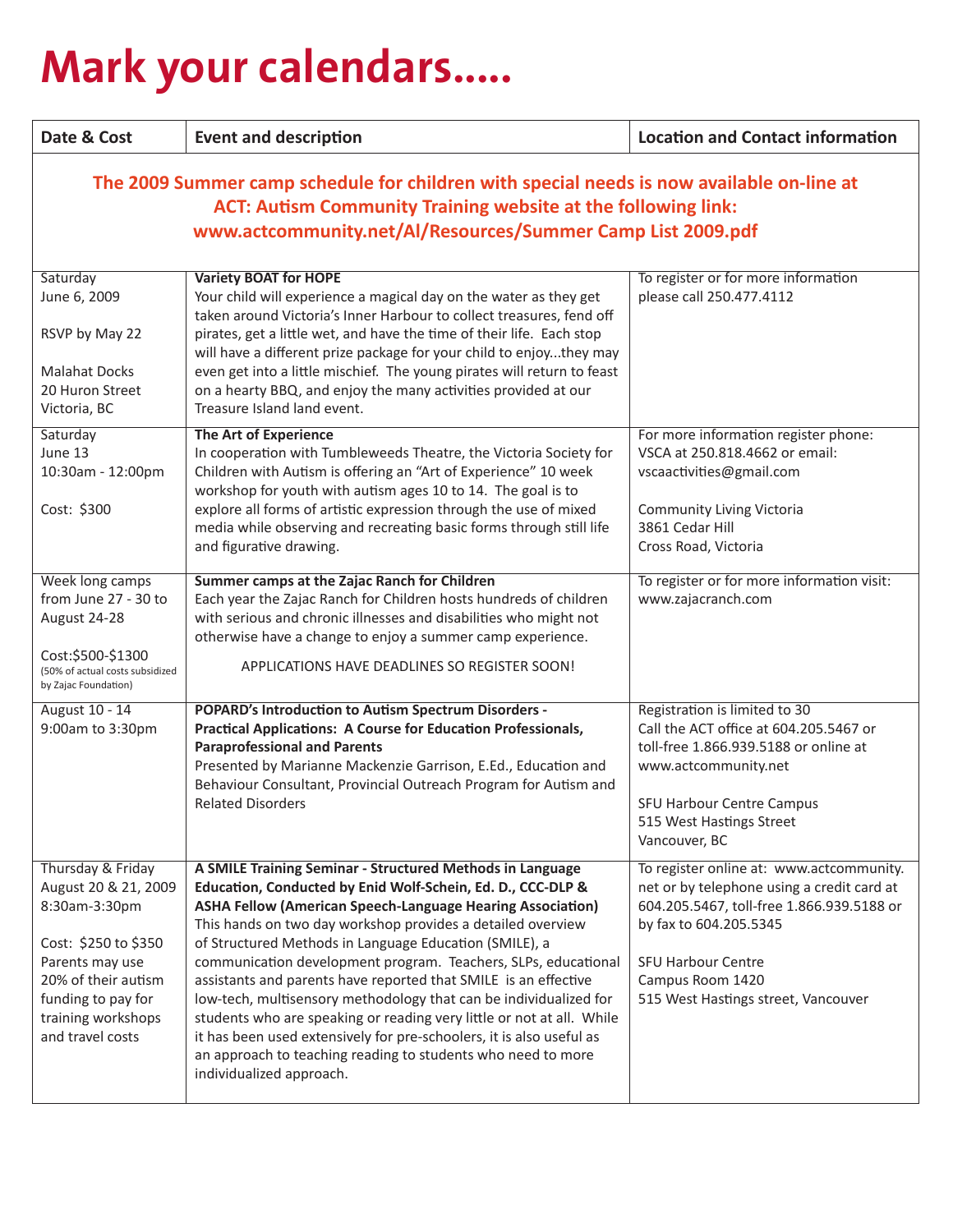# **Mark your calendars.....**

| Date & Cost                                                                                                                                                                                                                      | <b>Event and description</b>                                                                                                                                                                                                                                                                                                                                                                                                                                                                                                                                                                                                                                                                                                                                                  | <b>Location and Contact information</b>                                                                                                                                                                                                               |  |
|----------------------------------------------------------------------------------------------------------------------------------------------------------------------------------------------------------------------------------|-------------------------------------------------------------------------------------------------------------------------------------------------------------------------------------------------------------------------------------------------------------------------------------------------------------------------------------------------------------------------------------------------------------------------------------------------------------------------------------------------------------------------------------------------------------------------------------------------------------------------------------------------------------------------------------------------------------------------------------------------------------------------------|-------------------------------------------------------------------------------------------------------------------------------------------------------------------------------------------------------------------------------------------------------|--|
| The 2009 Summer camp schedule for children with special needs is now available on-line at<br><b>ACT: Autism Community Training website at the following link:</b><br>www.actcommunity.net/Al/Resources/Summer Camp List 2009.pdf |                                                                                                                                                                                                                                                                                                                                                                                                                                                                                                                                                                                                                                                                                                                                                                               |                                                                                                                                                                                                                                                       |  |
| Saturday<br>June 6, 2009<br>RSVP by May 22<br><b>Malahat Docks</b><br>20 Huron Street<br>Victoria, BC                                                                                                                            | <b>Variety BOAT for HOPE</b><br>Your child will experience a magical day on the water as they get<br>taken around Victoria's Inner Harbour to collect treasures, fend off<br>pirates, get a little wet, and have the time of their life. Each stop<br>will have a different prize package for your child to enjoythey may<br>even get into a little mischief. The young pirates will return to feast<br>on a hearty BBQ, and enjoy the many activities provided at our<br>Treasure Island land event.                                                                                                                                                                                                                                                                         | To register or for more information<br>please call 250.477.4112                                                                                                                                                                                       |  |
| Saturday<br>June 13<br>10:30am - 12:00pm<br>Cost: \$300<br>Week long camps                                                                                                                                                       | <b>The Art of Experience</b><br>In cooperation with Tumbleweeds Theatre, the Victoria Society for<br>Children with Autism is offering an "Art of Experience" 10 week<br>workshop for youth with autism ages 10 to 14. The goal is to<br>explore all forms of artistic expression through the use of mixed<br>media while observing and recreating basic forms through still life<br>and figurative drawing.<br>Summer camps at the Zajac Ranch for Children                                                                                                                                                                                                                                                                                                                   | For more information register phone:<br>VSCA at 250.818.4662 or email:<br>vscaactivities@gmail.com<br><b>Community Living Victoria</b><br>3861 Cedar Hill<br>Cross Road, Victoria<br>To register or for more information visit:                       |  |
| from June 27 - 30 to<br>August 24-28<br>Cost:\$500-\$1300<br>(50% of actual costs subsidized<br>by Zajac Foundation)                                                                                                             | Each year the Zajac Ranch for Children hosts hundreds of children<br>with serious and chronic illnesses and disabilities who might not<br>otherwise have a change to enjoy a summer camp experience.<br>APPLICATIONS HAVE DEADLINES SO REGISTER SOON!                                                                                                                                                                                                                                                                                                                                                                                                                                                                                                                         | www.zajacranch.com                                                                                                                                                                                                                                    |  |
| August 10 - 14<br>9:00am to 3:30pm                                                                                                                                                                                               | <b>POPARD's Introduction to Autism Spectrum Disorders -</b><br>Practical Applications: A Course for Education Professionals,<br><b>Paraprofessional and Parents</b><br>Presented by Marianne Mackenzie Garrison, E.Ed., Education and<br>Behaviour Consultant, Provincial Outreach Program for Autism and<br><b>Related Disorders</b>                                                                                                                                                                                                                                                                                                                                                                                                                                         | Registration is limited to 30<br>Call the ACT office at 604.205.5467 or<br>toll-free 1.866.939.5188 or online at<br>www.actcommunity.net<br><b>SFU Harbour Centre Campus</b><br>515 West Hastings Street<br>Vancouver, BC                             |  |
| Thursday & Friday<br>August 20 & 21, 2009<br>8:30am-3:30pm<br>Cost: \$250 to \$350<br>Parents may use<br>20% of their autism<br>funding to pay for<br>training workshops<br>and travel costs                                     | A SMILE Training Seminar - Structured Methods in Language<br>Education, Conducted by Enid Wolf-Schein, Ed. D., CCC-DLP &<br><b>ASHA Fellow (American Speech-Language Hearing Association)</b><br>This hands on two day workshop provides a detailed overview<br>of Structured Methods in Language Education (SMILE), a<br>communication development program. Teachers, SLPs, educational<br>assistants and parents have reported that SMILE is an effective<br>low-tech, multisensory methodology that can be individualized for<br>students who are speaking or reading very little or not at all. While<br>it has been used extensively for pre-schoolers, it is also useful as<br>an approach to teaching reading to students who need to more<br>individualized approach. | To register online at: www.actcommunity.<br>net or by telephone using a credit card at<br>604.205.5467, toll-free 1.866.939.5188 or<br>by fax to 604.205.5345<br><b>SFU Harbour Centre</b><br>Campus Room 1420<br>515 West Hastings street, Vancouver |  |